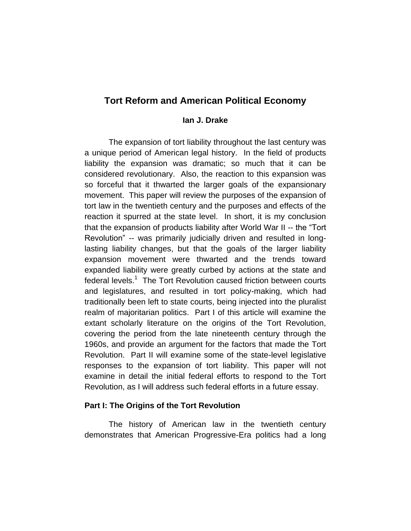# **Tort Reform and American Political Economy**

## **Ian J. Drake**

The expansion of tort liability throughout the last century was a unique period of American legal history. In the field of products liability the expansion was dramatic; so much that it can be considered revolutionary. Also, the reaction to this expansion was so forceful that it thwarted the larger goals of the expansionary movement. This paper will review the purposes of the expansion of tort law in the twentieth century and the purposes and effects of the reaction it spurred at the state level. In short, it is my conclusion that the expansion of products liability after World War II -- the "Tort Revolution" -- was primarily judicially driven and resulted in longlasting liability changes, but that the goals of the larger liability expansion movement were thwarted and the trends toward expanded liability were greatly curbed by actions at the state and federal levels.<sup>1</sup> The Tort Revolution caused friction between courts and legislatures, and resulted in tort policy-making, which had traditionally been left to state courts, being injected into the pluralist realm of majoritarian politics. Part I of this article will examine the extant scholarly literature on the origins of the Tort Revolution, covering the period from the late nineteenth century through the 1960s, and provide an argument for the factors that made the Tort Revolution. Part II will examine some of the state-level legislative responses to the expansion of tort liability. This paper will not examine in detail the initial federal efforts to respond to the Tort Revolution, as I will address such federal efforts in a future essay.

### **Part I: The Origins of the Tort Revolution**

The history of American law in the twentieth century demonstrates that American Progressive-Era politics had a long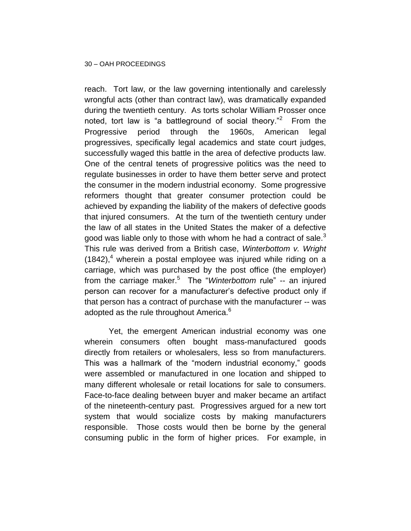reach. Tort law, or the law governing intentionally and carelessly wrongful acts (other than contract law), was dramatically expanded during the twentieth century. As torts scholar William Prosser once noted, tort law is "a battleground of social theory."<sup>2</sup> From the Progressive period through the 1960s, American legal progressives, specifically legal academics and state court judges, successfully waged this battle in the area of defective products law. One of the central tenets of progressive politics was the need to regulate businesses in order to have them better serve and protect the consumer in the modern industrial economy. Some progressive reformers thought that greater consumer protection could be achieved by expanding the liability of the makers of defective goods that injured consumers. At the turn of the twentieth century under the law of all states in the United States the maker of a defective good was liable only to those with whom he had a contract of sale.<sup>3</sup> This rule was derived from a British case, *Winterbottom v. Wright*  $(1842)$ ,<sup>4</sup> wherein a postal employee was injured while riding on a carriage, which was purchased by the post office (the employer) from the carriage maker.<sup>5</sup> The "*Winterbottom* rule" -- an injured person can recover for a manufacturer's defective product only if that person has a contract of purchase with the manufacturer -- was adopted as the rule throughout America.<sup>6</sup>

Yet, the emergent American industrial economy was one wherein consumers often bought mass-manufactured goods directly from retailers or wholesalers, less so from manufacturers. This was a hallmark of the "modern industrial economy," goods were assembled or manufactured in one location and shipped to many different wholesale or retail locations for sale to consumers. Face-to-face dealing between buyer and maker became an artifact of the nineteenth-century past. Progressives argued for a new tort system that would socialize costs by making manufacturers responsible. Those costs would then be borne by the general consuming public in the form of higher prices. For example, in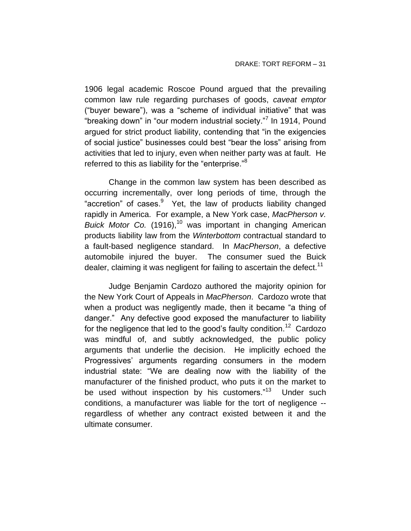1906 legal academic Roscoe Pound argued that the prevailing common law rule regarding purchases of goods, *caveat emptor* ("buyer beware"), was a "scheme of individual initiative" that was "breaking down" in "our modern industrial society."<sup>7</sup> In 1914, Pound argued for strict product liability, contending that "in the exigencies of social justice" businesses could best "bear the loss" arising from activities that led to injury, even when neither party was at fault. He referred to this as liability for the "enterprise."<sup>8</sup>

Change in the common law system has been described as occurring incrementally, over long periods of time, through the "accretion" of cases. Yet, the law of products liability changed rapidly in America. For example, a New York case, *MacPherson v. Buick Motor Co.* (1916),<sup>10</sup> was important in changing American products liability law from the *Winterbottom* contractual standard to a fault-based negligence standard. In *MacPherson*, a defective automobile injured the buyer. The consumer sued the Buick dealer, claiming it was negligent for failing to ascertain the defect.<sup>11</sup>

Judge Benjamin Cardozo authored the majority opinion for the New York Court of Appeals in *MacPherson*. Cardozo wrote that when a product was negligently made, then it became "a thing of danger." Any defective good exposed the manufacturer to liability for the negligence that led to the good's faulty condition.<sup>12</sup> Cardozo was mindful of, and subtly acknowledged, the public policy arguments that underlie the decision. He implicitly echoed the Progressives' arguments regarding consumers in the modern industrial state: "We are dealing now with the liability of the manufacturer of the finished product, who puts it on the market to be used without inspection by his customers."<sup>13</sup> Under such conditions, a manufacturer was liable for the tort of negligence - regardless of whether any contract existed between it and the ultimate consumer.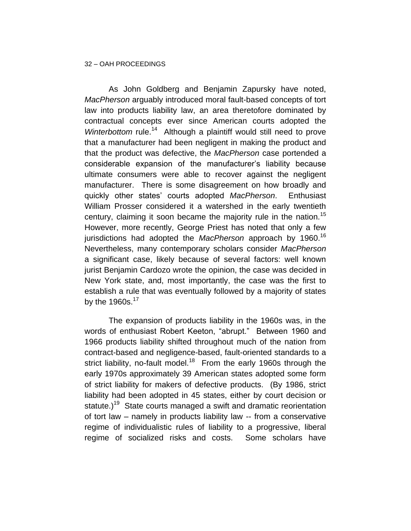#### 32 – OAH PROCEEDINGS

As John Goldberg and Benjamin Zapursky have noted, *MacPherson* arguably introduced moral fault-based concepts of tort law into products liability law, an area theretofore dominated by contractual concepts ever since American courts adopted the Winterbottom rule.<sup>14</sup> Although a plaintiff would still need to prove that a manufacturer had been negligent in making the product and that the product was defective, the *MacPherson* case portended a considerable expansion of the manufacturer's liability because ultimate consumers were able to recover against the negligent manufacturer. There is some disagreement on how broadly and quickly other states' courts adopted *MacPherson*. Enthusiast William Prosser considered it a watershed in the early twentieth century, claiming it soon became the majority rule in the nation.<sup>15</sup> However, more recently, George Priest has noted that only a few jurisdictions had adopted the *MacPherson* approach by 1960.<sup>16</sup> Nevertheless, many contemporary scholars consider *MacPherson* a significant case, likely because of several factors: well known jurist Benjamin Cardozo wrote the opinion, the case was decided in New York state, and, most importantly, the case was the first to establish a rule that was eventually followed by a majority of states by the 1960s. $17$ 

The expansion of products liability in the 1960s was, in the words of enthusiast Robert Keeton, "abrupt." Between 1960 and 1966 products liability shifted throughout much of the nation from contract-based and negligence-based, fault-oriented standards to a strict liability, no-fault model.<sup>18</sup> From the early 1960s through the early 1970s approximately 39 American states adopted some form of strict liability for makers of defective products. (By 1986, strict liability had been adopted in 45 states, either by court decision or statute.)<sup>19</sup> State courts managed a swift and dramatic reorientation of tort law – namely in products liability law -- from a conservative regime of individualistic rules of liability to a progressive, liberal regime of socialized risks and costs. Some scholars have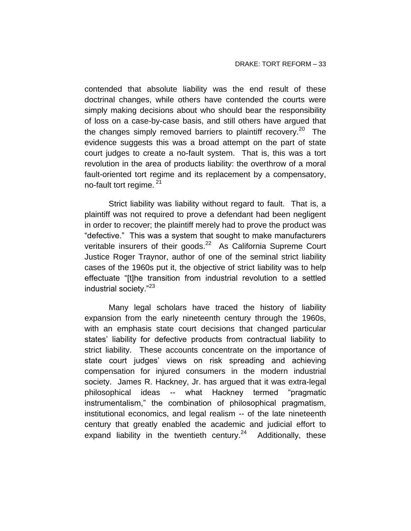contended that absolute liability was the end result of these doctrinal changes, while others have contended the courts were simply making decisions about who should bear the responsibility of loss on a case-by-case basis, and still others have argued that the changes simply removed barriers to plaintiff recovery.<sup>20</sup> The evidence suggests this was a broad attempt on the part of state court judges to create a no-fault system. That is, this was a tort revolution in the area of products liability: the overthrow of a moral fault-oriented tort regime and its replacement by a compensatory, no-fault tort regime.<sup>21</sup>

Strict liability was liability without regard to fault. That is, a plaintiff was not required to prove a defendant had been negligent in order to recover; the plaintiff merely had to prove the product was "defective." This was a system that sought to make manufacturers veritable insurers of their goods.<sup>22</sup> As California Supreme Court Justice Roger Traynor, author of one of the seminal strict liability cases of the 1960s put it, the objective of strict liability was to help effectuate "[t]he transition from industrial revolution to a settled industrial society."<sup>23</sup>

Many legal scholars have traced the history of liability expansion from the early nineteenth century through the 1960s, with an emphasis state court decisions that changed particular states' liability for defective products from contractual liability to strict liability. These accounts concentrate on the importance of state court judges' views on risk spreading and achieving compensation for injured consumers in the modern industrial society. James R. Hackney, Jr. has argued that it was extra-legal philosophical ideas -- what Hackney termed "pragmatic instrumentalism," the combination of philosophical pragmatism, institutional economics, and legal realism -- of the late nineteenth century that greatly enabled the academic and judicial effort to expand liability in the twentieth century.<sup>24</sup> Additionally, these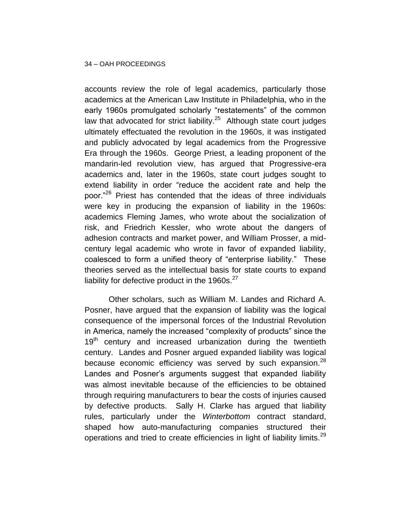accounts review the role of legal academics, particularly those academics at the American Law Institute in Philadelphia, who in the early 1960s promulgated scholarly "restatements" of the common law that advocated for strict liability. $25$  Although state court judges ultimately effectuated the revolution in the 1960s, it was instigated and publicly advocated by legal academics from the Progressive Era through the 1960s. George Priest, a leading proponent of the mandarin-led revolution view, has argued that Progressive-era academics and, later in the 1960s, state court judges sought to extend liability in order "reduce the accident rate and help the poor."<sup>26</sup> Priest has contended that the ideas of three individuals were key in producing the expansion of liability in the 1960s: academics Fleming James, who wrote about the socialization of risk, and Friedrich Kessler, who wrote about the dangers of adhesion contracts and market power, and William Prosser, a midcentury legal academic who wrote in favor of expanded liability, coalesced to form a unified theory of "enterprise liability." These theories served as the intellectual basis for state courts to expand liability for defective product in the  $1960s.<sup>27</sup>$ 

Other scholars, such as William M. Landes and Richard A. Posner, have argued that the expansion of liability was the logical consequence of the impersonal forces of the Industrial Revolution in America, namely the increased "complexity of products" since the  $19<sup>th</sup>$  century and increased urbanization during the twentieth century. Landes and Posner argued expanded liability was logical because economic efficiency was served by such expansion. $^{28}$ Landes and Posner's arguments suggest that expanded liability was almost inevitable because of the efficiencies to be obtained through requiring manufacturers to bear the costs of injuries caused by defective products. Sally H. Clarke has argued that liability rules, particularly under the *Winterbottom* contract standard, shaped how auto-manufacturing companies structured their operations and tried to create efficiencies in light of liability limits.<sup>29</sup>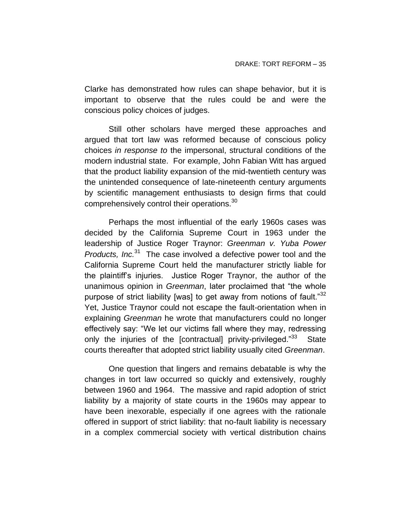Clarke has demonstrated how rules can shape behavior, but it is important to observe that the rules could be and were the conscious policy choices of judges.

Still other scholars have merged these approaches and argued that tort law was reformed because of conscious policy choices *in response to* the impersonal, structural conditions of the modern industrial state. For example, John Fabian Witt has argued that the product liability expansion of the mid-twentieth century was the unintended consequence of late-nineteenth century arguments by scientific management enthusiasts to design firms that could comprehensively control their operations.<sup>30</sup>

Perhaps the most influential of the early 1960s cases was decided by the California Supreme Court in 1963 under the leadership of Justice Roger Traynor: *Greenman v. Yuba Power*  Products, Inc.<sup>31</sup> The case involved a defective power tool and the California Supreme Court held the manufacturer strictly liable for the plaintiff's injuries. Justice Roger Traynor, the author of the unanimous opinion in *Greenman*, later proclaimed that "the whole purpose of strict liability [was] to get away from notions of fault." $32$ Yet, Justice Traynor could not escape the fault-orientation when in explaining *Greenman* he wrote that manufacturers could no longer effectively say: "We let our victims fall where they may, redressing only the injuries of the [contractual] privity-privileged."<sup>33</sup> **State** courts thereafter that adopted strict liability usually cited *Greenman*.

One question that lingers and remains debatable is why the changes in tort law occurred so quickly and extensively, roughly between 1960 and 1964. The massive and rapid adoption of strict liability by a majority of state courts in the 1960s may appear to have been inexorable, especially if one agrees with the rationale offered in support of strict liability: that no-fault liability is necessary in a complex commercial society with vertical distribution chains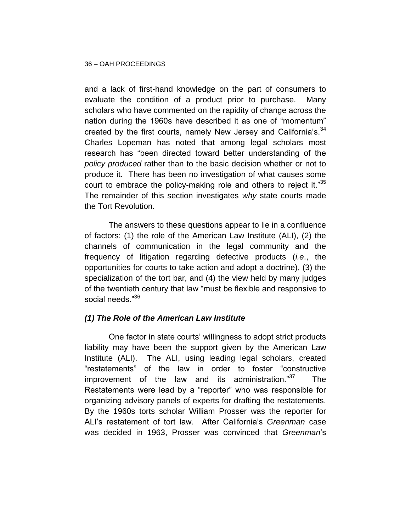and a lack of first-hand knowledge on the part of consumers to evaluate the condition of a product prior to purchase. Many scholars who have commented on the rapidity of change across the nation during the 1960s have described it as one of "momentum" created by the first courts, namely New Jersey and California's. $34$ Charles Lopeman has noted that among legal scholars most research has "been directed toward better understanding of the *policy produced* rather than to the basic decision whether or not to produce it. There has been no investigation of what causes some court to embrace the policy-making role and others to reject it." $35$ The remainder of this section investigates *why* state courts made the Tort Revolution.

The answers to these questions appear to lie in a confluence of factors: (1) the role of the American Law Institute (ALI), (2) the channels of communication in the legal community and the frequency of litigation regarding defective products (*i.e*., the opportunities for courts to take action and adopt a doctrine), (3) the specialization of the tort bar, and (4) the view held by many judges of the twentieth century that law "must be flexible and responsive to social needs."<sup>36</sup>

### *(1) The Role of the American Law Institute*

One factor in state courts' willingness to adopt strict products liability may have been the support given by the American Law Institute (ALI). The ALI, using leading legal scholars, created "restatements" of the law in order to foster "constructive improvement of the law and its administration."<sup>37</sup> The Restatements were lead by a "reporter" who was responsible for organizing advisory panels of experts for drafting the restatements. By the 1960s torts scholar William Prosser was the reporter for ALI's restatement of tort law. After California's *Greenman* case was decided in 1963, Prosser was convinced that *Greenman*'s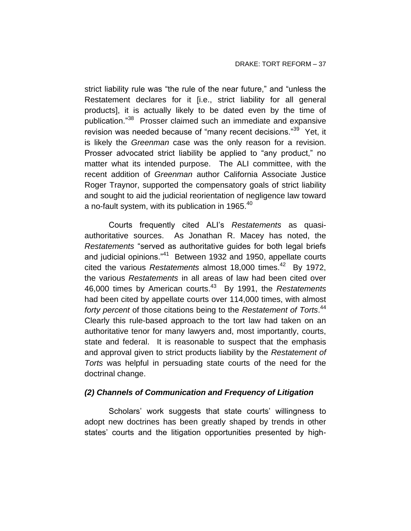strict liability rule was "the rule of the near future," and "unless the Restatement declares for it [i.e., strict liability for all general products], it is actually likely to be dated even by the time of publication."<sup>38</sup> Prosser claimed such an immediate and expansive revision was needed because of "many recent decisions."<sup>39</sup> Yet, it is likely the *Greenman* case was the only reason for a revision. Prosser advocated strict liability be applied to "any product," no matter what its intended purpose. The ALI committee, with the recent addition of *Greenman* author California Associate Justice Roger Traynor, supported the compensatory goals of strict liability and sought to aid the judicial reorientation of negligence law toward a no-fault system, with its publication in 1965. $40$ 

Courts frequently cited ALI's *Restatements* as quasiauthoritative sources. As Jonathan R. Macey has noted, the *Restatements* "served as authoritative guides for both legal briefs and judicial opinions."<sup>41</sup> Between 1932 and 1950, appellate courts cited the various *Restatements* almost 18,000 times.<sup>42</sup> By 1972, the various *Restatements* in all areas of law had been cited over 46,000 times by American courts.<sup>43</sup> By 1991, the *Restatements* had been cited by appellate courts over 114,000 times, with almost *forty percent* of those citations being to the *Restatement of Torts*. 44 Clearly this rule-based approach to the tort law had taken on an authoritative tenor for many lawyers and, most importantly, courts, state and federal. It is reasonable to suspect that the emphasis and approval given to strict products liability by the *Restatement of Torts* was helpful in persuading state courts of the need for the doctrinal change.

### *(2) Channels of Communication and Frequency of Litigation*

Scholars' work suggests that state courts' willingness to adopt new doctrines has been greatly shaped by trends in other states' courts and the litigation opportunities presented by high-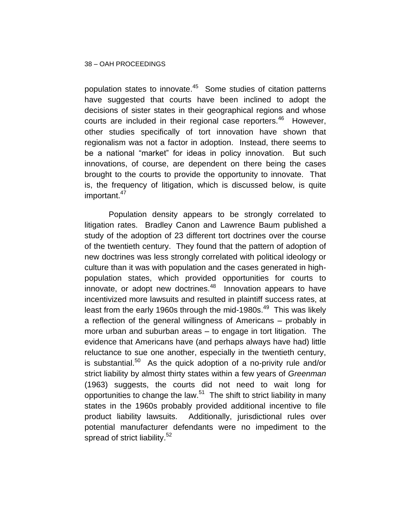population states to innovate.<sup>45</sup> Some studies of citation patterns have suggested that courts have been inclined to adopt the decisions of sister states in their geographical regions and whose courts are included in their regional case reporters.<sup>46</sup> However, other studies specifically of tort innovation have shown that regionalism was not a factor in adoption. Instead, there seems to be a national "market" for ideas in policy innovation. But such innovations, of course, are dependent on there being the cases brought to the courts to provide the opportunity to innovate. That is, the frequency of litigation, which is discussed below, is quite important.<sup>47</sup>

Population density appears to be strongly correlated to litigation rates. Bradley Canon and Lawrence Baum published a study of the adoption of 23 different tort doctrines over the course of the twentieth century. They found that the pattern of adoption of new doctrines was less strongly correlated with political ideology or culture than it was with population and the cases generated in highpopulation states, which provided opportunities for courts to innovate, or adopt new doctrines.<sup>48</sup> Innovation appears to have incentivized more lawsuits and resulted in plaintiff success rates, at least from the early 1960s through the mid-1980s. $^{49}$  This was likely a reflection of the general willingness of Americans – probably in more urban and suburban areas – to engage in tort litigation. The evidence that Americans have (and perhaps always have had) little reluctance to sue one another, especially in the twentieth century, is substantial.<sup>50</sup> As the quick adoption of a no-privity rule and/or strict liability by almost thirty states within a few years of *Greenman* (1963) suggests, the courts did not need to wait long for opportunities to change the law.<sup>51</sup> The shift to strict liability in many states in the 1960s probably provided additional incentive to file product liability lawsuits. Additionally, jurisdictional rules over potential manufacturer defendants were no impediment to the spread of strict liability.<sup>52</sup>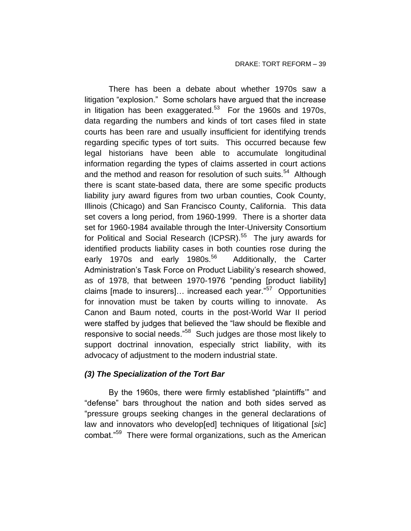There has been a debate about whether 1970s saw a litigation "explosion." Some scholars have argued that the increase in litigation has been exaggerated. $53$  For the 1960s and 1970s, data regarding the numbers and kinds of tort cases filed in state courts has been rare and usually insufficient for identifying trends regarding specific types of tort suits. This occurred because few legal historians have been able to accumulate longitudinal information regarding the types of claims asserted in court actions and the method and reason for resolution of such suits.<sup>54</sup> Although there is scant state-based data, there are some specific products liability jury award figures from two urban counties, Cook County, Illinois (Chicago) and San Francisco County, California. This data set covers a long period, from 1960-1999. There is a shorter data set for 1960-1984 available through the Inter-University Consortium for Political and Social Research (ICPSR).<sup>55</sup> The jury awards for identified products liability cases in both counties rose during the early 1970s and early 1980s.<sup>56</sup> Additionally, the Carter Administration's Task Force on Product Liability's research showed, as of 1978, that between 1970-1976 "pending [product liability] claims [made to insurers]... increased each year."<sup>57</sup> Opportunities for innovation must be taken by courts willing to innovate. As Canon and Baum noted, courts in the post-World War II period were staffed by judges that believed the "law should be flexible and responsive to social needs."<sup>58</sup> Such judges are those most likely to support doctrinal innovation, especially strict liability, with its advocacy of adjustment to the modern industrial state.

## *(3) The Specialization of the Tort Bar*

By the 1960s, there were firmly established "plaintiffs'" and "defense" bars throughout the nation and both sides served as "pressure groups seeking changes in the general declarations of law and innovators who develop[ed] techniques of litigational [*sic*] combat."<sup>59</sup> There were formal organizations, such as the American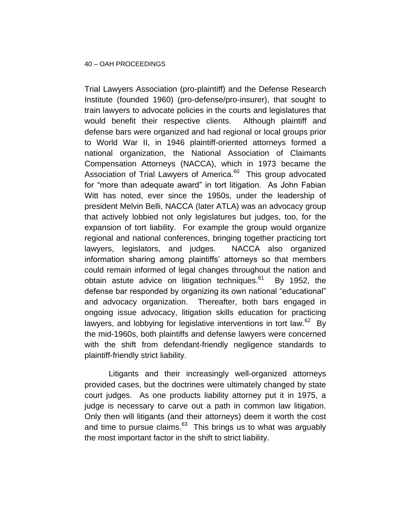Trial Lawyers Association (pro-plaintiff) and the Defense Research Institute (founded 1960) (pro-defense/pro-insurer), that sought to train lawyers to advocate policies in the courts and legislatures that would benefit their respective clients. Although plaintiff and defense bars were organized and had regional or local groups prior to World War II, in 1946 plaintiff-oriented attorneys formed a national organization, the National Association of Claimants Compensation Attorneys (NACCA), which in 1973 became the Association of Trial Lawyers of America.<sup>60</sup> This group advocated for "more than adequate award" in tort litigation. As John Fabian Witt has noted, ever since the 1950s, under the leadership of president Melvin Belli, NACCA (later ATLA) was an advocacy group that actively lobbied not only legislatures but judges, too, for the expansion of tort liability. For example the group would organize regional and national conferences, bringing together practicing tort lawyers, legislators, and judges. NACCA also organized information sharing among plaintiffs' attorneys so that members could remain informed of legal changes throughout the nation and obtain astute advice on litigation techniques.<sup>61</sup> By 1952, the defense bar responded by organizing its own national "educational" and advocacy organization. Thereafter, both bars engaged in ongoing issue advocacy, litigation skills education for practicing lawyers, and lobbying for legislative interventions in tort law. $62$  By the mid-1960s, both plaintiffs and defense lawyers were concerned with the shift from defendant-friendly negligence standards to plaintiff-friendly strict liability.

Litigants and their increasingly well-organized attorneys provided cases, but the doctrines were ultimately changed by state court judges. As one products liability attorney put it in 1975, a judge is necessary to carve out a path in common law litigation. Only then will litigants (and their attorneys) deem it worth the cost and time to pursue claims. $^{63}$  This brings us to what was arguably the most important factor in the shift to strict liability.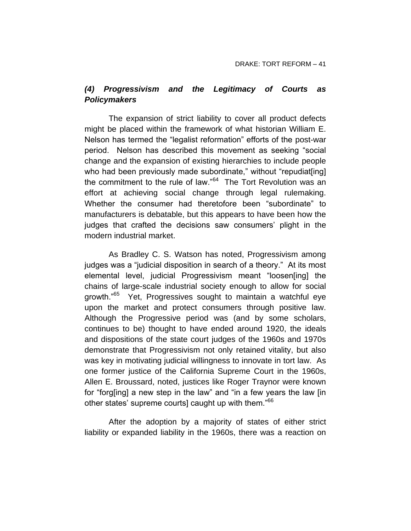## *(4) Progressivism and the Legitimacy of Courts as Policymakers*

The expansion of strict liability to cover all product defects might be placed within the framework of what historian William E. Nelson has termed the "legalist reformation" efforts of the post-war period. Nelson has described this movement as seeking "social change and the expansion of existing hierarchies to include people who had been previously made subordinate," without "repudiat [ing] the commitment to the rule of law."<sup>64</sup> The Tort Revolution was an effort at achieving social change through legal rulemaking. Whether the consumer had theretofore been "subordinate" to manufacturers is debatable, but this appears to have been how the judges that crafted the decisions saw consumers' plight in the modern industrial market.

As Bradley C. S. Watson has noted, Progressivism among judges was a "judicial disposition in search of a theory." At its most elemental level, judicial Progressivism meant "loosen[ing] the chains of large-scale industrial society enough to allow for social growth."<sup>65</sup> Yet, Progressives sought to maintain a watchful eye upon the market and protect consumers through positive law. Although the Progressive period was (and by some scholars, continues to be) thought to have ended around 1920, the ideals and dispositions of the state court judges of the 1960s and 1970s demonstrate that Progressivism not only retained vitality, but also was key in motivating judicial willingness to innovate in tort law. As one former justice of the California Supreme Court in the 1960s, Allen E. Broussard, noted, justices like Roger Traynor were known for "forg[ing] a new step in the law" and "in a few years the law [in other states' supreme courts] caught up with them."<sup>66</sup>

After the adoption by a majority of states of either strict liability or expanded liability in the 1960s, there was a reaction on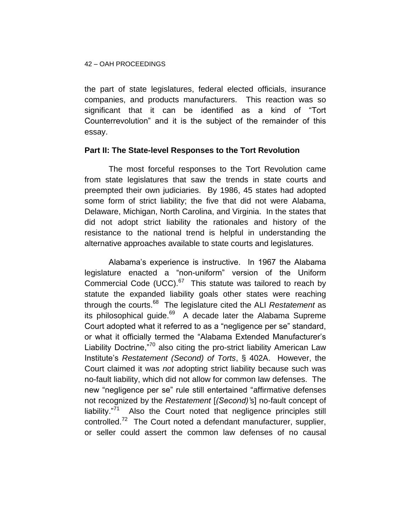### 42 – OAH PROCEEDINGS

the part of state legislatures, federal elected officials, insurance companies, and products manufacturers. This reaction was so significant that it can be identified as a kind of "Tort Counterrevolution" and it is the subject of the remainder of this essay.

### **Part II: The State-level Responses to the Tort Revolution**

The most forceful responses to the Tort Revolution came from state legislatures that saw the trends in state courts and preempted their own judiciaries. By 1986, 45 states had adopted some form of strict liability; the five that did not were Alabama, Delaware, Michigan, North Carolina, and Virginia. In the states that did not adopt strict liability the rationales and history of the resistance to the national trend is helpful in understanding the alternative approaches available to state courts and legislatures.

Alabama's experience is instructive. In 1967 the Alabama legislature enacted a "non-uniform" version of the Uniform Commercial Code (UCC). $67$  This statute was tailored to reach by statute the expanded liability goals other states were reaching through the courts.<sup>68</sup> The legislature cited the ALI *Restatement* as its philosophical guide.<sup>69</sup> A decade later the Alabama Supreme Court adopted what it referred to as a "negligence per se" standard, or what it officially termed the "Alabama Extended Manufacturer's Liability Doctrine,<sup>"70</sup> also citing the pro-strict liability American Law Institute's *Restatement (Second) of Torts*, § 402A. However, the Court claimed it was *not* adopting strict liability because such was no-fault liability, which did not allow for common law defenses. The new "negligence per se" rule still entertained "affirmative defenses not recognized by the *Restatement* [*(Second)'*s] no-fault concept of liability."<sup>71</sup> Also the Court noted that negligence principles still controlled.<sup>72</sup> The Court noted a defendant manufacturer, supplier, or seller could assert the common law defenses of no causal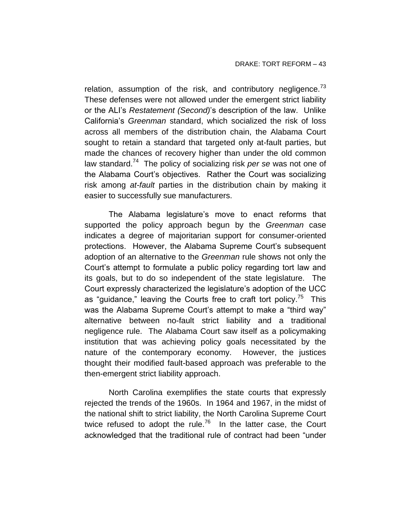relation, assumption of the risk, and contributory negligence.<sup>73</sup> These defenses were not allowed under the emergent strict liability or the ALI's *Restatement (Second)*'s description of the law. Unlike California's *Greenman* standard, which socialized the risk of loss across all members of the distribution chain, the Alabama Court sought to retain a standard that targeted only at-fault parties, but made the chances of recovery higher than under the old common law standard.<sup>74</sup> The policy of socializing risk *per se* was not one of the Alabama Court's objectives. Rather the Court was socializing risk among *at-fault* parties in the distribution chain by making it easier to successfully sue manufacturers.

The Alabama legislature's move to enact reforms that supported the policy approach begun by the *Greenman* case indicates a degree of majoritarian support for consumer-oriented protections. However, the Alabama Supreme Court's subsequent adoption of an alternative to the *Greenman* rule shows not only the Court's attempt to formulate a public policy regarding tort law and its goals, but to do so independent of the state legislature. The Court expressly characterized the legislature's adoption of the UCC as "guidance," leaving the Courts free to craft tort policy.<sup>75</sup> This was the Alabama Supreme Court's attempt to make a "third way" alternative between no-fault strict liability and a traditional negligence rule. The Alabama Court saw itself as a policymaking institution that was achieving policy goals necessitated by the nature of the contemporary economy. However, the justices thought their modified fault-based approach was preferable to the then-emergent strict liability approach.

North Carolina exemplifies the state courts that expressly rejected the trends of the 1960s. In 1964 and 1967, in the midst of the national shift to strict liability, the North Carolina Supreme Court twice refused to adopt the rule.<sup>76</sup> In the latter case, the Court acknowledged that the traditional rule of contract had been "under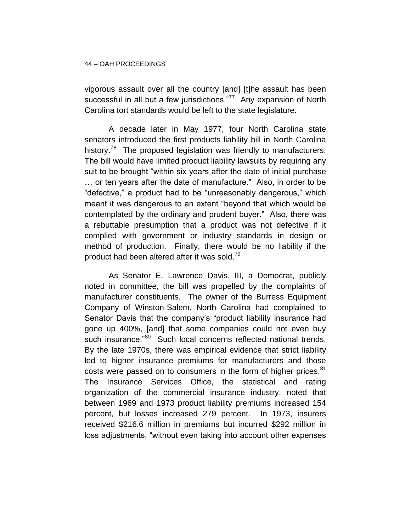vigorous assault over all the country [and] [t]he assault has been successful in all but a few jurisdictions."<sup>77</sup> Any expansion of North Carolina tort standards would be left to the state legislature.

A decade later in May 1977, four North Carolina state senators introduced the first products liability bill in North Carolina history.<sup>78</sup> The proposed legislation was friendly to manufacturers. The bill would have limited product liability lawsuits by requiring any suit to be brought "within six years after the date of initial purchase … or ten years after the date of manufacture." Also, in order to be "defective," a product had to be "unreasonably dangerous," which meant it was dangerous to an extent "beyond that which would be contemplated by the ordinary and prudent buyer." Also, there was a rebuttable presumption that a product was not defective if it complied with government or industry standards in design or method of production. Finally, there would be no liability if the product had been altered after it was sold.<sup>79</sup>

As Senator E. Lawrence Davis, III, a Democrat, publicly noted in committee, the bill was propelled by the complaints of manufacturer constituents. The owner of the Burress Equipment Company of Winston-Salem, North Carolina had complained to Senator Davis that the company's "product liability insurance had gone up 400%, [and] that some companies could not even buy such insurance."<sup>80</sup> Such local concerns reflected national trends. By the late 1970s, there was empirical evidence that strict liability led to higher insurance premiums for manufacturers and those costs were passed on to consumers in the form of higher prices. $81$ The Insurance Services Office, the statistical and rating organization of the commercial insurance industry, noted that between 1969 and 1973 product liability premiums increased 154 percent, but losses increased 279 percent. In 1973, insurers received \$216.6 million in premiums but incurred \$292 million in loss adjustments, "without even taking into account other expenses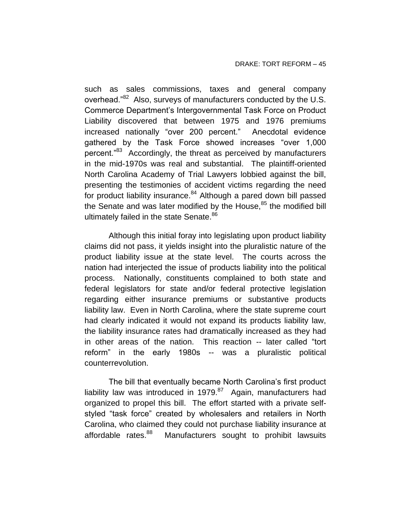such as sales commissions, taxes and general company overhead."<sup>82</sup> Also, surveys of manufacturers conducted by the U.S. Commerce Department's Intergovernmental Task Force on Product Liability discovered that between 1975 and 1976 premiums increased nationally "over 200 percent." Anecdotal evidence gathered by the Task Force showed increases "over 1,000 percent."<sup>83</sup> Accordingly, the threat as perceived by manufacturers in the mid-1970s was real and substantial. The plaintiff-oriented North Carolina Academy of Trial Lawyers lobbied against the bill, presenting the testimonies of accident victims regarding the need for product liability insurance.<sup>84</sup> Although a pared down bill passed the Senate and was later modified by the House, $85$  the modified bill ultimately failed in the state Senate.<sup>86</sup>

Although this initial foray into legislating upon product liability claims did not pass, it yields insight into the pluralistic nature of the product liability issue at the state level. The courts across the nation had interjected the issue of products liability into the political process. Nationally, constituents complained to both state and federal legislators for state and/or federal protective legislation regarding either insurance premiums or substantive products liability law. Even in North Carolina, where the state supreme court had clearly indicated it would not expand its products liability law, the liability insurance rates had dramatically increased as they had in other areas of the nation. This reaction -- later called "tort reform" in the early 1980s -- was a pluralistic political counterrevolution.

The bill that eventually became North Carolina's first product liability law was introduced in 1979.<sup>87</sup> Again, manufacturers had organized to propel this bill. The effort started with a private selfstyled "task force" created by wholesalers and retailers in North Carolina, who claimed they could not purchase liability insurance at affordable rates.<sup>88</sup> Manufacturers sought to prohibit lawsuits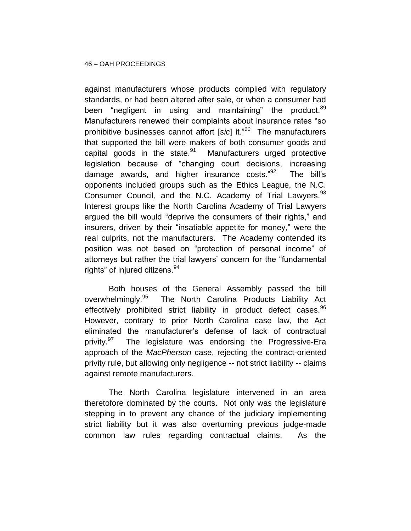against manufacturers whose products complied with regulatory standards, or had been altered after sale, or when a consumer had been "negligent in using and maintaining" the product.<sup>89</sup> Manufacturers renewed their complaints about insurance rates "so prohibitive businesses cannot affort [*sic*] it."<sup>90</sup> The manufacturers that supported the bill were makers of both consumer goods and capital goods in the state. $91$  Manufacturers urged protective legislation because of "changing court decisions, increasing damage awards, and higher insurance costs."<sup>92</sup> The bill's opponents included groups such as the Ethics League, the N.C. Consumer Council, and the N.C. Academy of Trial Lawyers.<sup>93</sup> Interest groups like the North Carolina Academy of Trial Lawyers argued the bill would "deprive the consumers of their rights," and insurers, driven by their "insatiable appetite for money," were the real culprits, not the manufacturers. The Academy contended its position was not based on "protection of personal income" of attorneys but rather the trial lawyers' concern for the "fundamental rights" of injured citizens.<sup>94</sup>

Both houses of the General Assembly passed the bill overwhelmingly.<sup>95</sup> The North Carolina Products Liability Act effectively prohibited strict liability in product defect cases.<sup>96</sup> However, contrary to prior North Carolina case law, the Act eliminated the manufacturer's defense of lack of contractual privity.<sup>97</sup> The legislature was endorsing the Progressive-Era approach of the *MacPherson* case, rejecting the contract-oriented privity rule, but allowing only negligence -- not strict liability -- claims against remote manufacturers.

The North Carolina legislature intervened in an area theretofore dominated by the courts. Not only was the legislature stepping in to prevent any chance of the judiciary implementing strict liability but it was also overturning previous judge-made common law rules regarding contractual claims. As the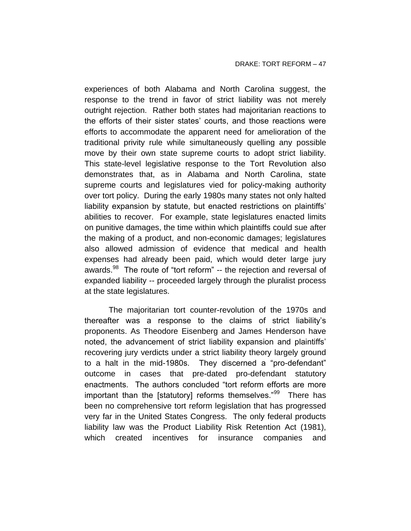experiences of both Alabama and North Carolina suggest, the response to the trend in favor of strict liability was not merely outright rejection. Rather both states had majoritarian reactions to the efforts of their sister states' courts, and those reactions were efforts to accommodate the apparent need for amelioration of the traditional privity rule while simultaneously quelling any possible move by their own state supreme courts to adopt strict liability. This state-level legislative response to the Tort Revolution also demonstrates that, as in Alabama and North Carolina, state supreme courts and legislatures vied for policy-making authority over tort policy. During the early 1980s many states not only halted liability expansion by statute, but enacted restrictions on plaintiffs' abilities to recover. For example, state legislatures enacted limits on punitive damages, the time within which plaintiffs could sue after the making of a product, and non-economic damages; legislatures also allowed admission of evidence that medical and health expenses had already been paid, which would deter large jury awards.<sup>98</sup> The route of "tort reform" -- the rejection and reversal of expanded liability -- proceeded largely through the pluralist process at the state legislatures.

The majoritarian tort counter-revolution of the 1970s and thereafter was a response to the claims of strict liability's proponents. As Theodore Eisenberg and James Henderson have noted, the advancement of strict liability expansion and plaintiffs' recovering jury verdicts under a strict liability theory largely ground to a halt in the mid-1980s. They discerned a "pro-defendant" outcome in cases that pre-dated pro-defendant statutory enactments. The authors concluded "tort reform efforts are more important than the [statutory] reforms themselves."<sup>99</sup> There has been no comprehensive tort reform legislation that has progressed very far in the United States Congress. The only federal products liability law was the Product Liability Risk Retention Act (1981), which created incentives for insurance companies and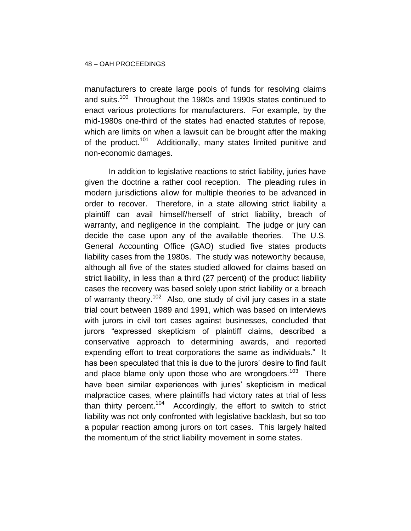manufacturers to create large pools of funds for resolving claims and suits.<sup>100</sup> Throughout the 1980s and 1990s states continued to enact various protections for manufacturers. For example, by the mid-1980s one-third of the states had enacted statutes of repose, which are limits on when a lawsuit can be brought after the making of the product.<sup>101</sup> Additionally, many states limited punitive and non-economic damages.

In addition to legislative reactions to strict liability, juries have given the doctrine a rather cool reception. The pleading rules in modern jurisdictions allow for multiple theories to be advanced in order to recover. Therefore, in a state allowing strict liability a plaintiff can avail himself/herself of strict liability, breach of warranty, and negligence in the complaint. The judge or jury can decide the case upon any of the available theories. The U.S. General Accounting Office (GAO) studied five states products liability cases from the 1980s. The study was noteworthy because, although all five of the states studied allowed for claims based on strict liability, in less than a third (27 percent) of the product liability cases the recovery was based solely upon strict liability or a breach of warranty theory.<sup>102</sup> Also, one study of civil jury cases in a state trial court between 1989 and 1991, which was based on interviews with jurors in civil tort cases against businesses, concluded that jurors "expressed skepticism of plaintiff claims, described a conservative approach to determining awards, and reported expending effort to treat corporations the same as individuals." It has been speculated that this is due to the jurors' desire to find fault and place blame only upon those who are wrongdoers.<sup>103</sup> There have been similar experiences with juries' skepticism in medical malpractice cases, where plaintiffs had victory rates at trial of less than thirty percent.<sup>104</sup> Accordingly, the effort to switch to strict liability was not only confronted with legislative backlash, but so too a popular reaction among jurors on tort cases. This largely halted the momentum of the strict liability movement in some states.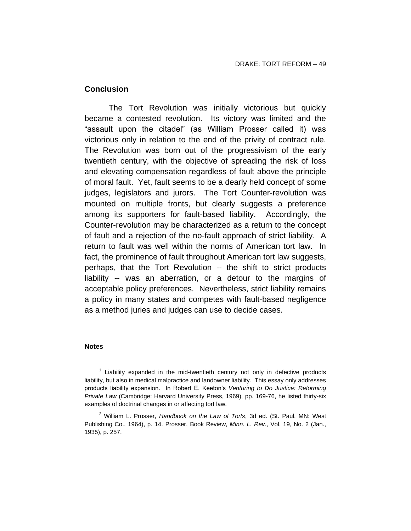### **Conclusion**

The Tort Revolution was initially victorious but quickly became a contested revolution. Its victory was limited and the "assault upon the citadel" (as William Prosser called it) was victorious only in relation to the end of the privity of contract rule. The Revolution was born out of the progressivism of the early twentieth century, with the objective of spreading the risk of loss and elevating compensation regardless of fault above the principle of moral fault. Yet, fault seems to be a dearly held concept of some judges, legislators and jurors. The Tort Counter-revolution was mounted on multiple fronts, but clearly suggests a preference among its supporters for fault-based liability. Accordingly, the Counter-revolution may be characterized as a return to the concept of fault and a rejection of the no-fault approach of strict liability. A return to fault was well within the norms of American tort law. In fact, the prominence of fault throughout American tort law suggests, perhaps, that the Tort Revolution -- the shift to strict products liability -- was an aberration, or a detour to the margins of acceptable policy preferences. Nevertheless, strict liability remains a policy in many states and competes with fault-based negligence as a method juries and judges can use to decide cases.

#### **Notes**

 $1$  Liability expanded in the mid-twentieth century not only in defective products liability, but also in medical malpractice and landowner liability. This essay only addresses products liability expansion. In Robert E. Keeton's *Venturing to Do Justice: Reforming Private Law* (Cambridge: Harvard University Press, 1969), pp. 169-76, he listed thirty-six examples of doctrinal changes in or affecting tort law.

<sup>2</sup> William L. Prosser, *Handbook on the Law of Torts*, 3d ed. (St. Paul, MN: West Publishing Co., 1964), p. 14. Prosser, Book Review, *Minn. L. Rev.*, Vol. 19, No. 2 (Jan., 1935), p. 257.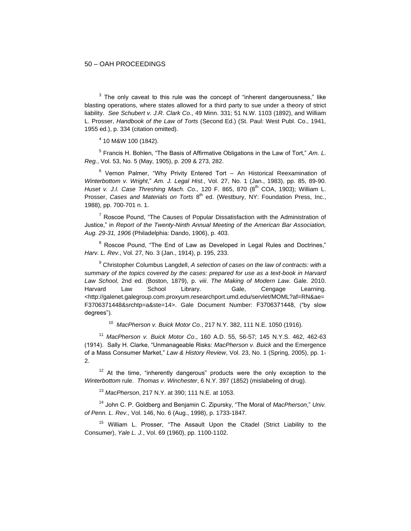$3$  The only caveat to this rule was the concept of "inherent dangerousness," like blasting operations, where states allowed for a third party to sue under a theory of strict liability. *See Schubert v. J.R. Clark Co*., 49 Minn. 331; 51 N.W. 1103 (1892), and William L. Prosser, *Handbook of the Law of Torts* (Second Ed.) (St. Paul: West Publ. Co., 1941, 1955 ed.), p. 334 (citation omitted).

4 10 M&W 100 (1842).

5 Francis H. Bohlen, "The Basis of Affirmative Obligations in the Law of Tort," *Am. L. Reg.*, Vol. 53, No. 5 (May, 1905), p. 209 & 273, 282.

 $6$  Vernon Palmer, "Why Privity Entered Tort – An Historical Reexamination of *Winterbottom v. Wright*," *Am. J. Legal Hist.*, Vol. 27, No. 1 (Jan., 1983), pp. 85, 89-90. *Huset v. J.I. Case Threshing Mach. Co.*, 120 F. 865, 870 (8<sup>th</sup> COA, 1903); William L. Prosser, *Cases and Materials on Torts* 8<sup>th</sup> ed. (Westbury, NY: Foundation Press, Inc., 1988), pp. 700-701 n. 1.

 $7$  Roscoe Pound, "The Causes of Popular Dissatisfaction with the Administration of Justice," in *Report of the Twenty-Ninth Annual Meeting of the American Bar Association, Aug. 29-31, 1906* (Philadelphia: Dando, 1906), p. 403.

<sup>8</sup> Roscoe Pound, "The End of Law as Developed in Legal Rules and Doctrines." *Harv. L. Rev.*, Vol. 27, No. 3 (Jan., 1914), p. 195, 233.

<sup>9</sup> Christopher Columbus Langdell, *A selection of cases on the law of contracts: with a summary of the topics covered by the cases: prepared for use as a text-book in Harvard Law School*, 2nd ed. (Boston, 1879), p. *viii*. *The Making of Modern Law*. Gale. 2010. Harvard Law School Library. Gale, Cengage Learning. <http://galenet.galegroup.com.proxyum.researchport.umd.edu/servlet/MOML?af=RN&ae= F3706371448&srchtp=a&ste=14>. Gale Document Number: F3706371448, ("by slow degrees").

10 *MacPherson v. Buick Motor Co.*, 217 N.Y. 382, 111 N.E. 1050 (1916).

<sup>11</sup> *MacPherson v. Buick Motor Co*., 160 A.D. 55, 56-57; 145 N.Y.S. 462, 462-63 (1914). Sally H. Clarke, "Unmanageable Risks: *MacPherson v. Buick* and the Emergence of a Mass Consumer Market," *Law & History Review*, Vol. 23, No. 1 (Spring, 2005), pp. 1- 2.

 $12$  At the time, "inherently dangerous" products were the only exception to the *Winterbottom* rule. *Thomas v. Winchester*, 6 N.Y. 397 (1852) (mislabeling of drug).

<sup>13</sup> *MacPherson*, 217 N.Y. at 390; 111 N.E. at 1053.

<sup>14</sup> John C. P. Goldberg and Benjamin C. Zipursky, "The Moral of *MacPherson*," *Univ. of Penn. L. Rev.,* Vol. 146, No. 6 (Aug., 1998), p. 1733-1847.

<sup>15</sup> William L. Prosser, "The Assault Upon the Citadel (Strict Liability to the Consumer), *Yale L. J.*, Vol. 69 (1960), pp. 1100-1102.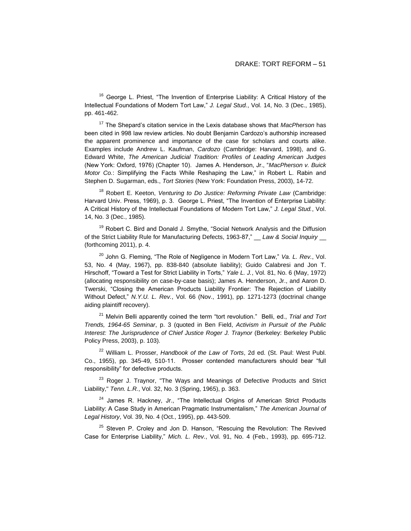$16$  George L. Priest, "The Invention of Enterprise Liability: A Critical History of the Intellectual Foundations of Modern Tort Law," *J. Legal Stud.*, Vol. 14, No. 3 (Dec., 1985), pp. 461-462.

<sup>17</sup> The Shepard's citation service in the Lexis database shows that *MacPherson* has been cited in 998 law review articles. No doubt Benjamin Cardozo's authorship increased the apparent prominence and importance of the case for scholars and courts alike. Examples include Andrew L. Kaufman, *Cardozo* (Cambridge: Harvard, 1998), and G. Edward White, *The American Judicial Tradition: Profiles of Leading American Judges* (New York: Oxford, 1976) (Chapter 10). James A. Henderson, Jr., "*MacPherson v. Buick Motor Co.*: Simplifying the Facts While Reshaping the Law," in Robert L. Rabin and Stephen D. Sugarman, eds., *Tort Stories* (New York: Foundation Press, 2003), 14-72.

<sup>18</sup> Robert E. Keeton, *Venturing to Do Justice: Reforming Private Law* (Cambridge: Harvard Univ. Press, 1969), p. 3. George L. Priest, "The Invention of Enterprise Liability: A Critical History of the Intellectual Foundations of Modern Tort Law," *J. Legal Stud.*, Vol. 14, No. 3 (Dec., 1985).

 $19$  Robert C. Bird and Donald J. Smythe, "Social Network Analysis and the Diffusion of the Strict Liability Rule for Manufacturing Defects, 1963-87," Law & Social Inquiry (forthcoming 2011), p. 4.

<sup>20</sup> John G. Fleming, "The Role of Negligence in Modern Tort Law," *Va. L. Rev.*, Vol. 53, No. 4 (May, 1967), pp. 838-840 (absolute liability); Guido Calabresi and Jon T. Hirschoff, "Toward a Test for Strict Liability in Torts," *Yale L. J.*, Vol. 81, No. 6 (May, 1972) (allocating responsibility on case-by-case basis); James A. Henderson, Jr., and Aaron D. Twerski, "Closing the American Products Liability Frontier: The Rejection of Liability Without Defect," *N.Y.U. L. Rev.*, Vol. 66 (Nov., 1991), pp. 1271-1273 (doctrinal change aiding plaintiff recovery).

<sup>21</sup> Melvin Belli apparently coined the term "tort revolution." Belli, ed., *Trial and Tort Trends, 1964-65 Seminar*, p. 3 (quoted in Ben Field, *Activism in Pursuit of the Public Interest: The Jurisprudence of Chief Justice Roger J. Traynor* (Berkeley: Berkeley Public Policy Press, 2003), p. 103).

<sup>22</sup> William L. Prosser, *Handbook of the Law of Torts*, 2d ed. (St. Paul: West Publ. Co., 1955), pp. 345-49, 510-11. Prosser contended manufacturers should bear "full responsibility" for defective products.

 $23$  Roger J. Traynor, "The Ways and Meanings of Defective Products and Strict Liability," *Tenn. L.R.*, Vol. 32, No. 3 (Spring, 1965), p. 363.

<sup>24</sup> James R. Hackney, Jr., "The Intellectual Origins of American Strict Products Liability: A Case Study in American Pragmatic Instrumentalism," *The American Journal of Legal History*, Vol. 39, No. 4 (Oct., 1995), pp. 443-509.

 $25$  Steven P. Croley and Jon D. Hanson, "Rescuing the Revolution: The Revived Case for Enterprise Liability," *Mich. L. Rev.*, Vol. 91, No. 4 (Feb., 1993), pp. 695-712.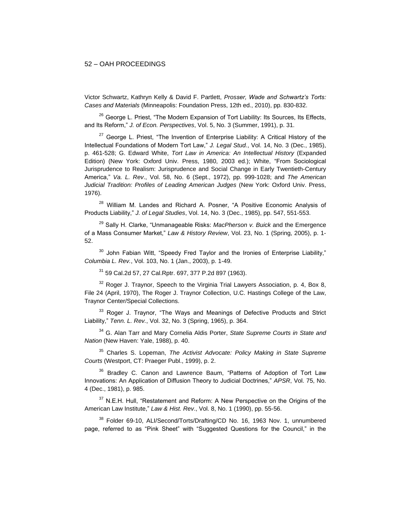Victor Schwartz, Kathryn Kelly & David F. Partlett, *Prosser, Wade and Schwartz's Torts: Cases and Materials* (Minneapolis: Foundation Press, 12th ed., 2010), pp. 830-832.

<sup>26</sup> George L. Priest, "The Modern Expansion of Tort Liability: Its Sources, Its Effects, and Its Reform," *J. of Econ. Perspectives*, Vol. 5, No. 3 (Summer, 1991), p. 31.

 $27$  George L. Priest, "The Invention of Enterprise Liability: A Critical History of the Intellectual Foundations of Modern Tort Law," *J. Legal Stud.*, Vol. 14, No. 3 (Dec., 1985), p. 461-528; G. Edward White, *Tort Law in America: An Intellectual History* (Expanded Edition) (New York: Oxford Univ. Press, 1980, 2003 ed.); White, "From Sociological Jurisprudence to Realism: Jurisprudence and Social Change in Early Twentieth-Century America," *Va. L. Rev*., Vol. 58, No. 6 (Sept., 1972), pp. 999-1028; and *The American Judicial Tradition: Profiles of Leading American Judges* (New York: Oxford Univ. Press, 1976).

<sup>28</sup> William M. Landes and Richard A. Posner, "A Positive Economic Analysis of Products Liability," *J. of Legal Studies*, Vol. 14, No. 3 (Dec., 1985), pp. 547, 551-553.

<sup>29</sup> Sally H. Clarke, "Unmanageable Risks: *MacPherson v. Buick* and the Emergence of a Mass Consumer Market," *Law & History Review*, Vol. 23, No. 1 (Spring, 2005), p. 1- 52.

 $30$  John Fabian Witt, "Speedy Fred Taylor and the Ironies of Enterprise Liability," *Columbia L. Rev.*, Vol. 103, No. 1 (Jan., 2003), p. 1-49.

<sup>31</sup> 59 Cal.2d 57, 27 Cal.Rptr. 697, 377 P.2d 897 (1963).

 $32$  Roger J. Traynor, Speech to the Virginia Trial Lawyers Association, p. 4, Box 8, File 24 (April, 1970), The Roger J. Traynor Collection, U.C. Hastings College of the Law, Traynor Center/Special Collections.

<sup>33</sup> Roger J. Traynor, "The Ways and Meanings of Defective Products and Strict Liability," *Tenn. L. Rev.*, Vol. 32, No. 3 (Spring, 1965), p. 364.

<sup>34</sup> G. Alan Tarr and Mary Cornelia Aldis Porter, *State Supreme Courts in State and Nation* (New Haven: Yale, 1988), p. 40.

<sup>35</sup> Charles S. Lopeman, *The Activist Advocate: Policy Making in State Supreme Courts* (Westport, CT: Praeger Publ., 1999), p. 2.

<sup>36</sup> Bradley C. Canon and Lawrence Baum, "Patterns of Adoption of Tort Law Innovations: An Application of Diffusion Theory to Judicial Doctrines," *APSR*, Vol. 75, No. 4 (Dec., 1981), p. 985.

 $37$  N.E.H. Hull, "Restatement and Reform: A New Perspective on the Origins of the American Law Institute," *Law & Hist. Rev*., Vol. 8, No. 1 (1990), pp. 55-56.

<sup>38</sup> Folder 69-10, ALI/Second/Torts/Drafting/CD No. 16, 1963 Nov. 1, unnumbered page, referred to as "Pink Sheet" with "Suggested Questions for the Council," in the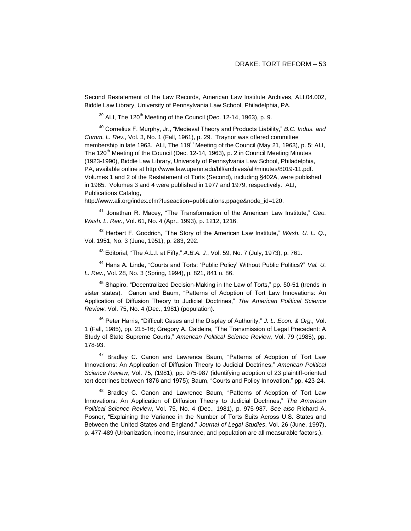Second Restatement of the Law Records, American Law Institute Archives, ALI.04.002, Biddle Law Library, University of Pennsylvania Law School, Philadelphia, PA.

 $39$  ALI. The 120<sup>th</sup> Meeting of the Council (Dec. 12-14, 1963), p. 9.

<sup>40</sup> Cornelius F. Murphy, Jr., "Medieval Theory and Products Liability," *B.C. Indus. and Comm. L. Rev.*, Vol. 3, No. 1 (Fall, 1961), p. 29. Traynor was offered committee membership in late 1963. ALI, The 119<sup>th</sup> Meeting of the Council (May 21, 1963), p. 5; ALI, The 120<sup>th</sup> Meeting of the Council (Dec. 12-14, 1963), p. 2 in Council Meeting Minutes (1923-1990), Biddle Law Library, University of Pennsylvania Law School, Philadelphia, PA, available online at http://www.law.upenn.edu/bll/archives/ali/minutes/8019-11.pdf. Volumes 1 and 2 of the Restatement of Torts (Second), including §402A, were published in 1965. Volumes 3 and 4 were published in 1977 and 1979, respectively. ALI, Publications Catalog,

http://www.ali.org/index.cfm?fuseaction=publications.ppage&node\_id=120.

<sup>41</sup> Jonathan R. Macey, "The Transformation of the American Law Institute," *Geo. Wash. L. Rev.*, Vol. 61, No. 4 (Apr., 1993), p. 1212, 1216.

<sup>42</sup> Herbert F. Goodrich, "The Story of the American Law Institute," *Wash. U. L. Q.*, Vol. 1951, No. 3 (June, 1951), p. 283, 292.

<sup>43</sup> Editorial, "The A.L.I. at Fifty," *A.B.A. J.*, Vol. 59, No. 7 (July, 1973), p. 761.

<sup>44</sup> Hans A. Linde, "Courts and Torts: 'Public Policy' Without Public Politics?" *Val. U. L. Rev.*, Vol. 28, No. 3 (Spring, 1994), p. 821, 841 n. 86.

<sup>45</sup> Shapiro, "Decentralized Decision-Making in the Law of Torts," pp. 50-51 (trends in sister states). Canon and Baum, "Patterns of Adoption of Tort Law Innovations: An Application of Diffusion Theory to Judicial Doctrines," *The American Political Science Review*, Vol. 75, No. 4 (Dec., 1981) (population).

<sup>46</sup> Peter Harris, "Difficult Cases and the Display of Authority," *J. L. Econ. & Org.,* Vol. 1 (Fall, 1985), pp. 215-16; Gregory A. Caldeira, "The Transmission of Legal Precedent: A Study of State Supreme Courts," *American Political Science Review,* Vol. 79 (1985), pp. 178-93.

<sup>47</sup> Bradley C. Canon and Lawrence Baum, "Patterns of Adoption of Tort Law Innovations: An Application of Diffusion Theory to Judicial Doctrines," *American Political Science Review*, Vol. 75, (1981), pp. 975-987 (identifying adoption of 23 plaintiff-oriented tort doctrines between 1876 and 1975); Baum, "Courts and Policy Innovation," pp. 423-24.

<sup>48</sup> Bradley C. Canon and Lawrence Baum, "Patterns of Adoption of Tort Law Innovations: An Application of Diffusion Theory to Judicial Doctrines," *The American Political Science Review*, Vol. 75, No. 4 (Dec., 1981), p. 975-987. *See also* Richard A. Posner, "Explaining the Variance in the Number of Torts Suits Across U.S. States and Between the United States and England," *Journal of Legal Studies*, Vol. 26 (June, 1997), p. 477-489 (Urbanization, income, insurance, and population are all measurable factors.).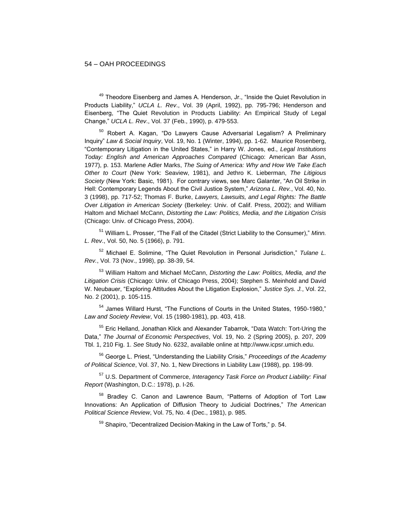$49$  Theodore Eisenberg and James A. Henderson, Jr., "Inside the Quiet Revolution in Products Liability," *UCLA L. Rev*., Vol. 39 (April, 1992), pp. 795-796; Henderson and Eisenberg, "The Quiet Revolution in Products Liability: An Empirical Study of Legal Change," *UCLA L. Rev*., Vol. 37 (Feb., 1990), p. 479-553.

<sup>50</sup> Robert A. Kagan, "Do Lawyers Cause Adversarial Legalism? A Preliminary Inquiry" *Law & Social Inquiry*, Vol. 19, No. 1 (Winter, 1994), pp. 1-62. Maurice Rosenberg, "Contemporary Litigation in the United States," in Harry W. Jones, ed., *Legal Institutions Today: English and American Approaches Compared* (Chicago: American Bar Assn, 1977), p. 153. Marlene Adler Marks, *The Suing of America: Why and How We Take Each Other to Court* (New York: Seaview, 1981), and Jethro K. Lieberman, *The Litigious Society* (New York: Basic, 1981). For contrary views, see Marc Galanter, "An Oil Strike in Hell: Contemporary Legends About the Civil Justice System," *Arizona L. Rev.*, Vol. 40, No. 3 (1998), pp. 717-52; Thomas F. Burke, *Lawyers, Lawsuits, and Legal Rights: The Battle Over Litigation in American Society* (Berkeley: Univ. of Calif. Press, 2002); and William Haltom and Michael McCann, *Distorting the Law: Politics, Media, and the Litigation Crisis* (Chicago: Univ. of Chicago Press, 2004).

<sup>51</sup> William L. Prosser, "The Fall of the Citadel (Strict Liability to the Consumer)," *Minn. L. Rev*., Vol. 50, No. 5 (1966), p. 791.

<sup>52</sup> Michael E. Solimine, "The Quiet Revolution in Personal Jurisdiction," *Tulane L. Rev.*, Vol. 73 (Nov., 1998), pp. 38-39, 54.

<sup>53</sup> William Haltom and Michael McCann, *Distorting the Law: Politics, Media, and the Litigation Crisis* (Chicago: Univ. of Chicago Press, 2004); Stephen S. Meinhold and David W. Neubauer, "Exploring Attitudes About the Litigation Explosion," *Justice Sys. J.*, Vol. 22, No. 2 (2001), p. 105-115.

<sup>54</sup> James Willard Hurst, "The Functions of Courts in the United States, 1950-1980," *Law and Society Review*, Vol. 15 (1980-1981), pp. 403, 418.

<sup>55</sup> Eric Helland, Jonathan Klick and Alexander Tabarrok, "Data Watch: Tort-Uring the Data," *The Journal of Economic Perspectives*, Vol. 19, No. 2 (Spring 2005), p. 207, 209 Tbl. 1, 210 Fig. 1. *See* Study No. 6232, available online at http://www.icpsr.umich.edu.

<sup>56</sup> George L. Priest, "Understanding the Liability Crisis," *Proceedings of the Academy of Political Science*, Vol. 37, No. 1, New Directions in Liability Law (1988), pp. 198-99.

<sup>57</sup> U.S. Department of Commerce, *Interagency Task Force on Product Liability: Final Report* (Washington, D.C.: 1978), p. I-26.

<sup>58</sup> Bradley C. Canon and Lawrence Baum, "Patterns of Adoption of Tort Law Innovations: An Application of Diffusion Theory to Judicial Doctrines," *The American Political Science Review*, Vol. 75, No. 4 (Dec., 1981), p. 985.

59 Shapiro, "Decentralized Decision-Making in the Law of Torts," p. 54.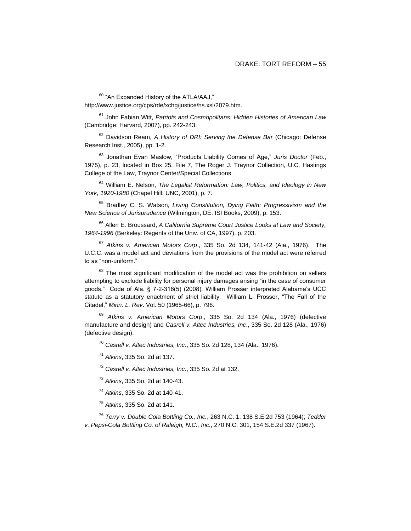<sup>60</sup> "An Expanded History of the ATLA/AAJ," http://www.justice.org/cps/rde/xchg/justice/hs.xsl/2079.htm.

<sup>61</sup> John Fabian Witt, *Patriots and Cosmopolitans: Hidden Histories of American Law*  (Cambridge: Harvard, 2007), pp. 242-243.

<sup>62</sup> Davidson Ream, *A History of DRI: Serving the Defense Bar* (Chicago: Defense Research Inst., 2005), pp. 1-2.

<sup>63</sup> Jonathan Evan Maslow, "Products Liability Comes of Age," *Juris Doctor* (Feb., 1975), p. 23, located in Box 25, File 7, The Roger J. Traynor Collection, U.C. Hastings College of the Law, Traynor Center/Special Collections.

<sup>64</sup> William E. Nelson, *The Legalist Reformation: Law, Politics, and Ideology in New York, 1920-1980* (Chapel Hill: UNC, 2001), p. 7.

<sup>65</sup> Bradley C. S. Watson, *Living Constitution, Dying Faith: Progressivism and the New Science of Jurisprudence* (Wilmington, DE: ISI Books, 2009), p. 153.

<sup>66</sup> Allen E. Broussard, *A California Supreme Court Justice Looks at Law and Society, 1964-1996* (Berkeley: Regents of the Univ. of CA, 1997), p. 203.

<sup>67</sup> *Atkins v. American Motors Corp*., 335 So. 2d 134, 141-42 (Ala., 1976). The U.C.C. was a model act and deviations from the provisions of the model act were referred to as "non-uniform."

 $68$  The most significant modification of the model act was the prohibition on sellers attempting to exclude liability for personal injury damages arising "in the case of consumer goods." Code of Ala. § 7-2-316(5) (2008). William Prosser interpreted Alabama's UCC statute as a statutory enactment of strict liability. William L. Prosser, "The Fall of the Citadel," *Minn. L. Rev*. Vol. 50 (1965-66), p. 796.

<sup>69</sup> *Atkins v. American Motors Corp*., 335 So. 2d 134 (Ala., 1976) (defective manufacture and design) and *Casrell v. Altec Industries, Inc*., 335 So. 2d 128 (Ala., 1976) (defective design).

<sup>70</sup> *Casrell v. Altec Industries, Inc*., 335 So. 2d 128, 134 (Ala., 1976).

<sup>71</sup> *Atkins*, 335 So. 2d at 137.

<sup>72</sup> *Casrell v. Altec Industries, Inc*., 335 So. 2d at 132.

<sup>73</sup> *Atkins*, 335 So. 2d at 140-43.

<sup>74</sup> *Atkins*, 335 So. 2d at 140-41.

<sup>75</sup> *Atkins*, 335 So. 2d at 141.

<sup>76</sup> *Terry v. Double Cola Bottling Co., Inc.*, 263 N.C. 1, 138 S.E.2d 753 (1964); *Tedder v. Pepsi-Cola Bottling Co. of Raleigh, N.C., Inc.*, 270 N.C. 301, 154 S.E.2d 337 (1967).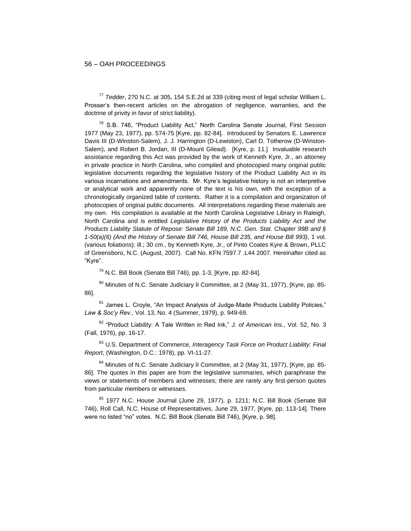<sup>77</sup> *Tedder*, 270 N.C. at 305, 154 S.E.2d at 339 (citing most of legal scholar William L. Prosser's then-recent articles on the abrogation of negligence, warranties, and the doctrine of privity in favor of strict liability).

<sup>78</sup> S.B. 746, "Product Liability Act," North Carolina Senate Journal, First Session 1977 (May 23, 1977), pp. 574-75 [Kyre, pp. 82-84]. Introduced by Senators E. Lawrence Davis III (D-Winston-Salem), J. J. Harrington (D-Lewiston), Carl D. Totherow (D-Winston-Salem), and Robert B. Jordan, III (D-Mount Gilead). [Kyre, p. 11.] Invaluable research assistance regarding this Act was provided by the work of Kenneth Kyre, Jr., an attorney in private practice in North Carolina, who compiled and photocopied many original public legislative documents regarding the legislative history of the Product Liability Act in its various incarnations and amendments. Mr. Kyre's legislative history is not an interpretive or analytical work and apparently none of the text is his own, with the exception of a chronologically organized table of contents. Rather it is a compilation and organization of photocopies of original public documents. All interpretations regarding these materials are my own. His compilation is available at the North Carolina Legislative Library in Raleigh, North Carolina and is entitled *Legislative History of the Products Liability Act and the Products Liability Statute of Repose: Senate Bill 189, N.C. Gen. Stat. Chapter 99B and § 1-50(a)(6) (And the History of Senate Bill 746, House Bill 235, and House Bill 993)*, 1 vol. (various foliations): ill.; 30 cm., by Kenneth Kyre, Jr., of Pinto Coates Kyre & Brown, PLLC of Greensboro, N.C. (August, 2007). Call No. KFN 7597.7 .L44 2007. Hereinafter cited as "Kyre".

 $79$  N.C. Bill Book (Senate Bill 746), pp. 1-3, [Kyre, pp. 82-84].

<sup>80</sup> Minutes of N.C. Senate Judiciary II Committee, at 2 (May 31, 1977), [Kyre, pp. 85-86].

<sup>81</sup> James L. Crovle, "An Impact Analysis of Judge-Made Products Liability Policies," *Law & Soc'y Rev.*, Vol. 13, No. 4 (Summer, 1979), p. 949-69.

<sup>82</sup> "Product Liability: A Tale Written in Red Ink," *J. of American Ins.*, Vol. 52, No. 3 (Fall, 1976), pp. 16-17.

<sup>83</sup> U.S. Department of Commerce, *Interagency Task Force on Product Liability: Final Report*, (Washington, D.C.: 1978), pp. VI-11-27.

<sup>84</sup> Minutes of N.C. Senate Judiciary II Committee, at 2 (May 31, 1977), [Kyre, pp. 85-86]. The quotes in this paper are from the legislative summaries, which paraphrase the views or statements of members and witnesses; there are rarely any first-person quotes from particular members or witnesses.

85 1977 N.C. House Journal (June 29, 1977), p. 1211; N.C. Bill Book (Senate Bill 746), Roll Call, N.C. House of Representatives, June 29, 1977, [Kyre, pp. 113-14]. There were no listed "no" votes. N.C. Bill Book (Senate Bill 746), [Kyre, p. 98].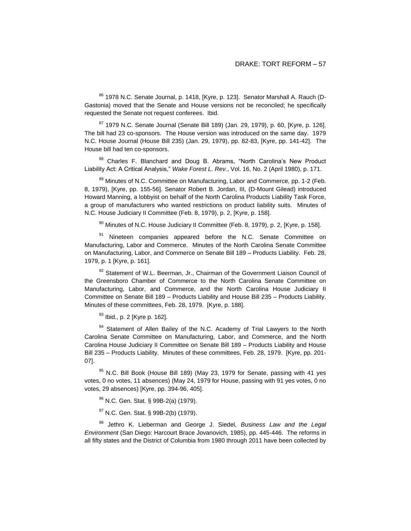<sup>86</sup> 1978 N.C. Senate Journal, p. 1418, [Kyre, p. 123]. Senator Marshall A. Rauch (D-Gastonia) moved that the Senate and House versions not be reconciled; he specifically requested the Senate not request conferees. Ibid.

 $87$  1979 N.C. Senate Journal (Senate Bill 189) (Jan. 29, 1979), p. 60, [Kyre, p. 126]. The bill had 23 co-sponsors. The House version was introduced on the same day. 1979 N.C. House Journal (House Bill 235) (Jan. 29, 1979), pp. 82-83, [Kyre, pp. 141-42]. The House bill had ten co-sponsors.

88 Charles F. Blanchard and Doug B. Abrams, "North Carolina's New Product Liability Act: A Critical Analysis," *Wake Forest L. Rev.*, Vol. 16, No. 2 (April 1980), p. 171.

89 Minutes of N.C. Committee on Manufacturing, Labor and Commerce, pp. 1-2 (Feb. 8, 1979), [Kyre, pp. 155-56]. Senator Robert B. Jordan, III, (D-Mount Gilead) introduced Howard Manning, a lobbyist on behalf of the North Carolina Products Liability Task Force, a group of manufacturers who wanted restrictions on product liability suits. Minutes of N.C. House Judiciary II Committee (Feb. 8, 1979), p. 2, [Kyre, p. 158].

 $90$  Minutes of N.C. House Judiciary II Committee (Feb. 8, 1979), p. 2, [Kyre, p. 158].

<sup>91</sup> Nineteen companies appeared before the N.C. Senate Committee on Manufacturing, Labor and Commerce. Minutes of the North Carolina Senate Committee on Manufacturing, Labor, and Commerce on Senate Bill 189 – Products Liability. Feb. 28, 1979, p. 1 [Kyre, p. 161].

92 Statement of W.L. Beerman, Jr., Chairman of the Government Liaison Council of the Greensboro Chamber of Commerce to the North Carolina Senate Committee on Manufacturing, Labor, and Commerce, and the North Carolina House Judiciary II Committee on Senate Bill 189 – Products Liability and House Bill 235 – Products Liability. Minutes of these committees, Feb. 28, 1979. [Kyre, p. 188].

93 Ibid., p. 2 [Kyre p. 162].

94 Statement of Allen Bailey of the N.C. Academy of Trial Lawyers to the North Carolina Senate Committee on Manufacturing, Labor, and Commerce, and the North Carolina House Judiciary II Committee on Senate Bill 189 – Products Liability and House Bill 235 – Products Liability. Minutes of these committees, Feb. 28, 1979. [Kyre, pp. 201- 07].

 $95$  N.C. Bill Book (House Bill 189) (May 23, 1979 for Senate, passing with 41 yes votes, 0 no votes, 11 absences) (May 24, 1979 for House, passing with 91 yes votes, 0 no votes, 29 absences) [Kyre, pp. 394-96, 405].

<sup>96</sup> N.C. Gen. Stat. § 99B-2(a) (1979).

97 N.C. Gen. Stat. § 99B-2(b) (1979).

<sup>98</sup> Jethro K. Lieberman and George J. Siedel, *Business Law and the Legal Environment* (San Diego: Harcourt Brace Jovanovich, 1985), pp. 445-446. The reforms in all fifty states and the District of Columbia from 1980 through 2011 have been collected by